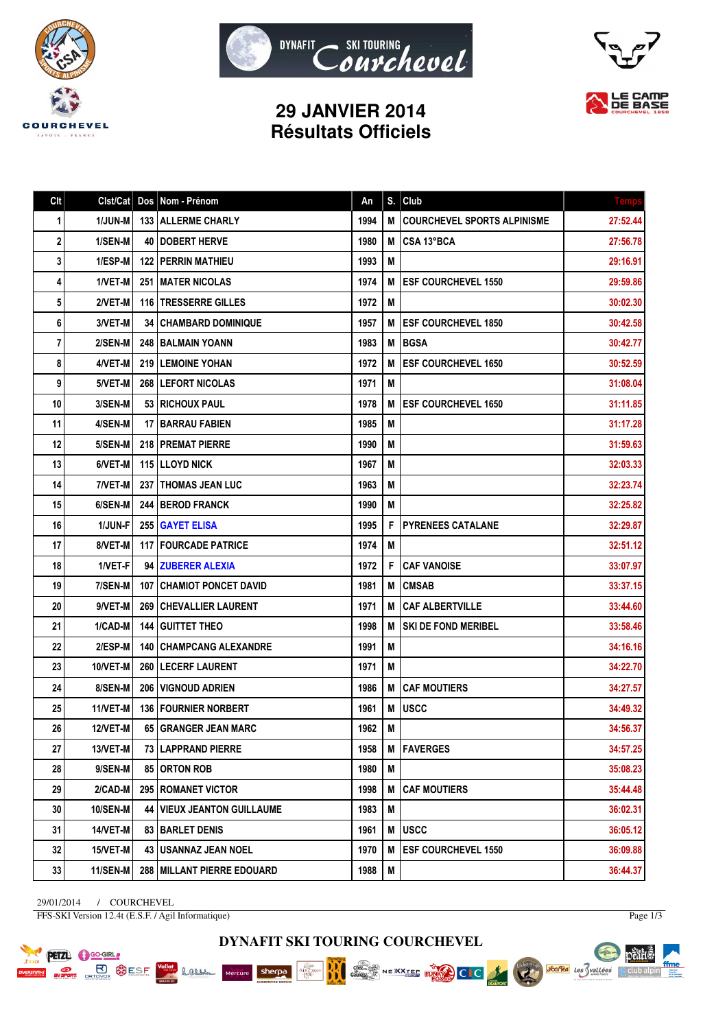





## **29 JANVIER 2014 Résultats Officiels**

| Clt | Clst/Cat        | Dos | Nom - Prénom                        | An   | S. | Club                               | <b>Temps</b> |
|-----|-----------------|-----|-------------------------------------|------|----|------------------------------------|--------------|
| 1   | <b>1/JUN-M</b>  |     | <b>133   ALLERME CHARLY</b>         | 1994 | M  | <b>COURCHEVEL SPORTS ALPINISME</b> | 27:52.44     |
| 2   | 1/SEN-M         |     | 40   DOBERT HERVE                   | 1980 | M  | CSA 13°BCA                         | 27:56.78     |
| 3   | 1/ESP-M         |     | <b>122   PERRIN MATHIEU</b>         | 1993 | M  |                                    | 29:16.91     |
| 4   | 1/VET-M         |     | <b>251 IMATER NICOLAS</b>           | 1974 | M  | <b>ESF COURCHEVEL 1550</b>         | 29:59.86     |
| 5   | 2/VET-M         |     | <b>116 ITRESSERRE GILLES</b>        | 1972 | М  |                                    | 30:02.30     |
| 6   | 3/VET-M         |     | <b>34   CHAMBARD DOMINIQUE</b>      | 1957 | M  | <b>ESF COURCHEVEL 1850</b>         | 30:42.58     |
| 7   | 2/SEN-M         |     | 248 BALMAIN YOANN                   | 1983 | M  | <b>BGSA</b>                        | 30:42.77     |
| 8   | 4/VET-M         |     | <b>219 ILEMOINE YOHAN</b>           | 1972 | M  | <b>ESF COURCHEVEL 1650</b>         | 30:52.59     |
| 9   | 5/VET-M         |     | <b>268 ILEFORT NICOLAS</b>          | 1971 | M  |                                    | 31:08.04     |
| 10  | 3/SEN-M         |     | <b>53   RICHOUX PAUL</b>            | 1978 | M  | <b>ESF COURCHEVEL 1650</b>         | 31:11.85     |
| 11  | 4/SEN-M         |     | 17   BARRAU FABIEN                  | 1985 | M  |                                    | 31:17.28     |
| 12  | 5/SEN-M         |     | <b>218   PREMAT PIERRE</b>          | 1990 | M  |                                    | 31:59.63     |
| 13  | 6/VET-M         |     | <b>115 ILLOYD NICK</b>              | 1967 | M  |                                    | 32:03.33     |
| 14  | 7/VET-M         | 237 | <b>ITHOMAS JEAN LUC</b>             | 1963 | M  |                                    | 32:23.74     |
| 15  | 6/SEN-M         |     | <b>244   BEROD FRANCK</b>           | 1990 | М  |                                    | 32:25.82     |
| 16  | 1/JUN-F         |     | 255 GAYET ELISA                     | 1995 | F  | <b>PYRENEES CATALANE</b>           | 32:29.87     |
| 17  | 8/VET-M         |     | <b>117   FOURCADE PATRICE</b>       | 1974 | M  |                                    | 32:51.12     |
| 18  | 1/VET-F         |     | 94   ZUBERER ALEXIA                 | 1972 | F  | <b>CAF VANOISE</b>                 | 33:07.97     |
| 19  | 7/SEN-M         |     | <b>107   CHAMIOT PONCET DAVID</b>   | 1981 | M  | <b>CMSAB</b>                       | 33:37.15     |
| 20  | 9/VET-M         |     | 269   CHEVALLIER LAURENT            | 1971 | M  | <b>CAF ALBERTVILLE</b>             | 33:44.60     |
| 21  | 1/CAD-M         | 144 | <b>GUITTET THEO</b>                 | 1998 | M  | <b>SKI DE FOND MERIBEL</b>         | 33:58.46     |
| 22  | 2/ESP-M         |     | <b>140   CHAMPCANG ALEXANDRE</b>    | 1991 | M  |                                    | 34:16.16     |
| 23  | 10/VET-M        |     | <b>260   LECERF LAURENT</b>         | 1971 | M  |                                    | 34:22.70     |
| 24  | 8/SEN-M         |     | 206   VIGNOUD ADRIEN                | 1986 | M  | <b>CAF MOUTIERS</b>                | 34:27.57     |
| 25  | 11/VET-M        |     | <b>136 FOURNIER NORBERT</b>         | 1961 | M  | <b>USCC</b>                        | 34:49.32     |
| 26  | <b>12/VET-M</b> |     | <b>65 GRANGER JEAN MARC</b>         | 1962 | M  |                                    | 34:56.37     |
| 27  | 13/VET-M        |     | 73   LAPPRAND PIERRE                | 1958 | М  | <b>FAVERGES</b>                    | 34:57.25     |
| 28  | 9/SEN-M         |     | 85   ORTON ROB                      | 1980 | M  |                                    | 35:08.23     |
| 29  | 2/CAD-M         |     | 295   ROMANET VICTOR                | 1998 | M  | <b>CAF MOUTIERS</b>                | 35:44.48     |
| 30  | <b>10/SEN-M</b> |     | <b>44   VIEUX JEANTON GUILLAUME</b> | 1983 | M  |                                    | 36:02.31     |
| 31  | <b>14/VET-M</b> |     | 83 BARLET DENIS                     | 1961 | M  | <b>USCC</b>                        | 36:05.12     |
| 32  | 15/VET-M        |     | 43   USANNAZ JEAN NOEL              | 1970 | M  | <b>ESF COURCHEVEL 1550</b>         | 36:09.88     |
| 33  | 11/SEN-M        |     | 288 MILLANT PIERRE EDOUARD          | 1988 | M  |                                    | 36:44.37     |

29/01/2014 / COURCHEVEL FFS-SKI Version 12.4t (E.S.F. / Agil Informatique)

Lamen

Mercure sherpa

**PETZL C** GO-GIRL

**PORT BUSICAL SESF** 

Page 1/3

pearts.

 $\mathbb{A}$  club alpin

ffme

**Société des Vallées** 

**DYNAFIT SKI TOURING COURCHEVEL**

Chez...<br>Gaulois

NEXXTEE EUROPE CLC

BBC

**IA ABU**<br>**MAN GRANE**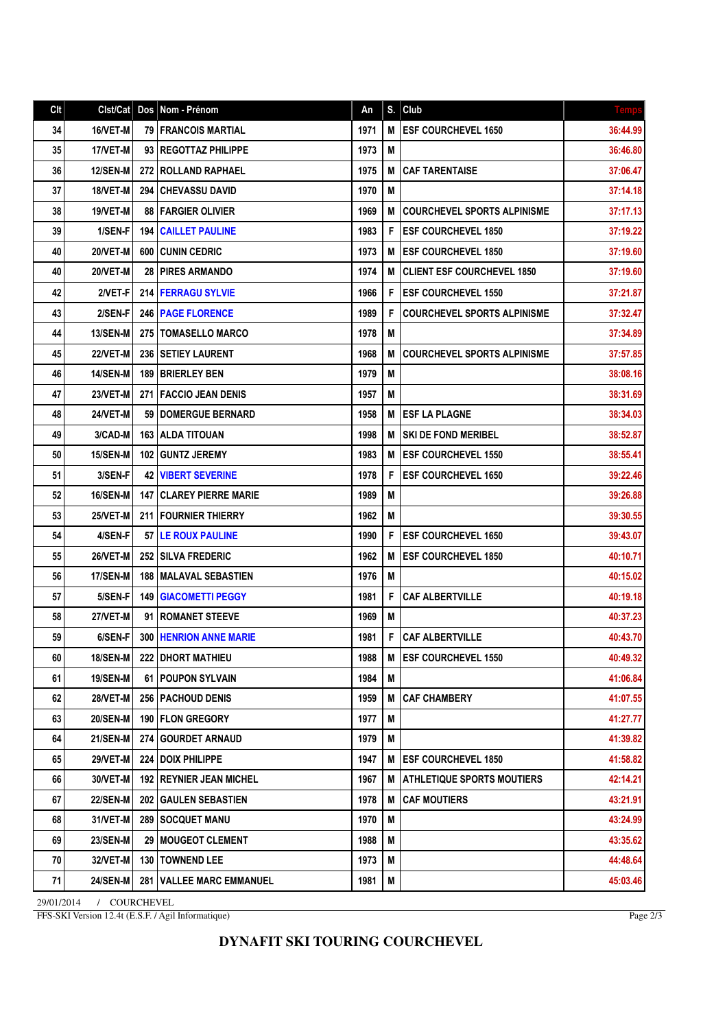| Clt | Clst/Cat        |       | Dos Nom - Prénom                 | An   | S. | Club                               | <b>Temps</b> |
|-----|-----------------|-------|----------------------------------|------|----|------------------------------------|--------------|
| 34  | 16/VET-M        |       | <b>79 I FRANCOIS MARTIAL</b>     | 1971 | М  | <b>ESF COURCHEVEL 1650</b>         | 36:44.99     |
| 35  | 17/VET-M        |       | 93 REGOTTAZ PHILIPPE             | 1973 | M  |                                    | 36:46.80     |
| 36  | <b>12/SEN-M</b> | 272   | <b>ROLLAND RAPHAEL</b>           | 1975 | М  | <b>CAF TARENTAISE</b>              | 37:06.47     |
| 37  | 18/VET-M        | 294 I | CHEVASSU DAVID                   | 1970 | M  |                                    | 37:14.18     |
| 38  | 19/VET-M        |       | 88   FARGIER OLIVIER             | 1969 | М  | <b>COURCHEVEL SPORTS ALPINISME</b> | 37:17.13     |
| 39  | 1/SEN-F         | 194   | <b>CAILLET PAULINE</b>           | 1983 | F  | <b>ESF COURCHEVEL 1850</b>         | 37:19.22     |
| 40  | 20/VET-M        | 600   | <b>CUNIN CEDRIC</b>              | 1973 | М  | <b>ESF COURCHEVEL 1850</b>         | 37:19.60     |
| 40  | 20/VET-M        | 28    | PIRES ARMANDO                    | 1974 | М  | <b>CLIENT ESF COURCHEVEL 1850</b>  | 37:19.60     |
| 42  | 2/VET-F         | 214   | <b>FERRAGU SYLVIE</b>            | 1966 | F  | <b>ESF COURCHEVEL 1550</b>         | 37:21.87     |
| 43  | 2/SEN-F         |       | 246   PAGE FLORENCE              | 1989 | F  | <b>COURCHEVEL SPORTS ALPINISME</b> | 37:32.47     |
| 44  | <b>13/SEN-M</b> |       | 275   TOMASELLO MARCO            | 1978 | M  |                                    | 37:34.89     |
| 45  | <b>22/VET-M</b> |       | 236   SETIEY LAURENT             | 1968 | М  | <b>COURCHEVEL SPORTS ALPINISME</b> | 37:57.85     |
| 46  | <b>14/SEN-M</b> | 189   | <b>BRIERLEY BEN</b>              | 1979 | Μ  |                                    | 38:08.16     |
| 47  | <b>23/VET-M</b> |       | <b>271   FACCIO JEAN DENIS</b>   | 1957 | М  |                                    | 38:31.69     |
| 48  | 24/VET-M        |       | 59   DOMERGUE BERNARD            | 1958 | М  | <b>ESF LA PLAGNE</b>               | 38:34.03     |
| 49  | 3/CAD-M         |       | <b>163   ALDA TITOUAN</b>        | 1998 | М  | <b>SKI DE FOND MERIBEL</b>         | 38:52.87     |
| 50  | <b>15/SEN-M</b> |       | <b>102 GUNTZ JEREMY</b>          | 1983 | M  | <b>ESF COURCHEVEL 1550</b>         | 38:55.41     |
| 51  | 3/SEN-F         | 42    | <b>VIBERT SEVERINE</b>           | 1978 | F  | <b>ESF COURCHEVEL 1650</b>         | 39:22.46     |
| 52  | <b>16/SEN-M</b> | 147   | CLAREY PIERRE MARIE              | 1989 | M  |                                    | 39:26.88     |
| 53  | 25/VET-M        |       | 211   FOURNIER THIERRY           | 1962 | M  |                                    | 39:30.55     |
| 54  | 4/SEN-F         | 57 I  | <b>LE ROUX PAULINE</b>           | 1990 | F  | <b>ESF COURCHEVEL 1650</b>         | 39:43.07     |
| 55  | 26/VET-M        |       | <b>252 I SILVA FREDERIC</b>      | 1962 | M  | <b>ESF COURCHEVEL 1850</b>         | 40:10.71     |
| 56  | 17/SEN-M        | 188   | I MALAVAL SEBASTIEN              | 1976 | M  |                                    | 40:15.02     |
| 57  | 5/SEN-F         | 149   | <b>GIACOMETTI PEGGY</b>          | 1981 | F  | <b>CAF ALBERTVILLE</b>             | 40:19.18     |
| 58  | <b>27/VET-M</b> | 91    | <b>I ROMANET STEEVE</b>          | 1969 | M  |                                    | 40:37.23     |
| 59  | 6/SEN-F         | 300   | <b>HENRION ANNE MARIE</b>        | 1981 | F  | <b>CAF ALBERTVILLE</b>             | 40:43.70     |
| 60  | 18/SEN-M        |       | 222 DHORT MATHIEU                | 1988 | М  | <b>ESF COURCHEVEL 1550</b>         | 40:49.32     |
| 61  | <b>19/SEN-M</b> |       | 61   POUPON SYLVAIN              | 1984 | M  |                                    | 41:06.84     |
| 62  | <b>28/VET-M</b> |       | 256   PACHOUD DENIS              | 1959 | М  | <b>CAF CHAMBERY</b>                | 41:07.55     |
| 63  | <b>20/SEN-M</b> |       | 190 FLON GREGORY                 | 1977 | M  |                                    | 41:27.77     |
| 64  | 21/SEN-M        | 274   | <b>GOURDET ARNAUD</b>            | 1979 | M  |                                    | 41:39.82     |
| 65  | 29/VET-M        |       | 224   DOIX PHILIPPE              | 1947 | Μ  | <b>ESF COURCHEVEL 1850</b>         | 41:58.82     |
| 66  | 30/VET-M        |       | <b>192   REYNIER JEAN MICHEL</b> | 1967 | M  | <b>ATHLETIQUE SPORTS MOUTIERS</b>  | 42:14.21     |
| 67  | <b>22/SEN-M</b> |       | 202 GAULEN SEBASTIEN             | 1978 | M  | <b>CAF MOUTIERS</b>                | 43:21.91     |
| 68  | 31/VET-M        |       | <b>289   SOCQUET MANU</b>        | 1970 | М  |                                    | 43:24.99     |
| 69  | <b>23/SEN-M</b> |       | <b>29   MOUGEOT CLEMENT</b>      | 1988 | M  |                                    | 43:35.62     |
| 70  | 32/VET-M        |       | 130   TOWNEND LEE                | 1973 | М  |                                    | 44:48.64     |
| 71  | <b>24/SEN-M</b> | 281 I | <b>VALLEE MARC EMMANUEL</b>      | 1981 | M  |                                    | 45:03.46     |

29/01/2014 / COURCHEVEL FFS-SKI Version 12.4t (E.S.F. / Agil Informatique)

Page 2/3

## **DYNAFIT SKI TOURING COURCHEVEL**